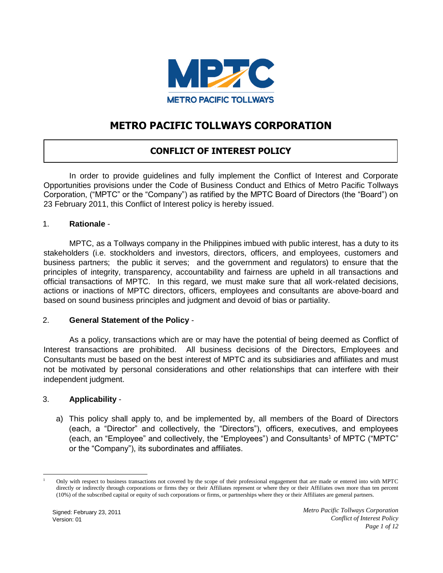

## **METRO PACIFIC TOLLWAYS CORPORATION**

### **CONFLICT OF INTEREST POLICY**

In order to provide guidelines and fully implement the Conflict of Interest and Corporate Opportunities provisions under the Code of Business Conduct and Ethics of Metro Pacific Tollways Corporation, ("MPTC" or the "Company") as ratified by the MPTC Board of Directors (the "Board") on 23 February 2011, this Conflict of Interest policy is hereby issued.

#### 1. **Rationale** -

MPTC, as a Tollways company in the Philippines imbued with public interest, has a duty to its stakeholders (i.e. stockholders and investors, directors, officers, and employees, customers and business partners; the public it serves; and the government and regulators) to ensure that the principles of integrity, transparency, accountability and fairness are upheld in all transactions and official transactions of MPTC. In this regard, we must make sure that all work-related decisions, actions or inactions of MPTC directors, officers, employees and consultants are above-board and based on sound business principles and judgment and devoid of bias or partiality.

#### 2. **General Statement of the Policy** -

As a policy, transactions which are or may have the potential of being deemed as Conflict of Interest transactions are prohibited. All business decisions of the Directors, Employees and Consultants must be based on the best interest of MPTC and its subsidiaries and affiliates and must not be motivated by personal considerations and other relationships that can interfere with their independent judgment.

#### 3. **Applicability** -

a) This policy shall apply to, and be implemented by, all members of the Board of Directors (each, a "Director" and collectively, the "Directors"), officers, executives, and employees (each, an "Employee" and collectively, the "Employees") and Consultants<sup>1</sup> of MPTC ("MPTC" or the "Company"), its subordinates and affiliates.

<sup>1</sup> Only with respect to business transactions not covered by the scope of their professional engagement that are made or entered into with MPTC directly or indirectly through corporations or firms they or their Affiliates represent or where they or their Affiliates own more than ten percent (10%) of the subscribed capital or equity of such corporations or firms, or partnerships where they or their Affiliates are general partners.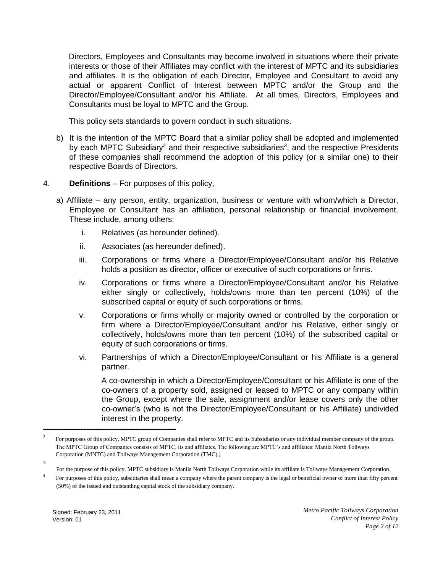Directors, Employees and Consultants may become involved in situations where their private interests or those of their Affiliates may conflict with the interest of MPTC and its subsidiaries and affiliates. It is the obligation of each Director, Employee and Consultant to avoid any actual or apparent Conflict of Interest between MPTC and/or the Group and the Director/Employee/Consultant and/or his Affiliate. At all times, Directors, Employees and Consultants must be loyal to MPTC and the Group.

This policy sets standards to govern conduct in such situations.

- b) It is the intention of the MPTC Board that a similar policy shall be adopted and implemented by each MPTC Subsidiary<sup>2</sup> and their respective subsidiaries<sup>3</sup>, and the respective Presidents of these companies shall recommend the adoption of this policy (or a similar one) to their respective Boards of Directors.
- 4. **Definitions** For purposes of this policy,
	- a) Affiliate any person, entity, organization, business or venture with whom/which a Director, Employee or Consultant has an affiliation, personal relationship or financial involvement. These include, among others:
		- i. Relatives (as hereunder defined).
		- ii. Associates (as hereunder defined).
		- iii. Corporations or firms where a Director/Employee/Consultant and/or his Relative holds a position as director, officer or executive of such corporations or firms.
		- iv. Corporations or firms where a Director/Employee/Consultant and/or his Relative either singly or collectively, holds/owns more than ten percent (10%) of the subscribed capital or equity of such corporations or firms.
		- v. Corporations or firms wholly or majority owned or controlled by the corporation or firm where a Director/Employee/Consultant and/or his Relative, either singly or collectively, holds/owns more than ten percent (10%) of the subscribed capital or equity of such corporations or firms.
		- vi. Partnerships of which a Director/Employee/Consultant or his Affiliate is a general partner.

A co-ownership in which a Director/Employee/Consultant or his Affiliate is one of the co-owners of a property sold, assigned or leased to MPTC or any company within the Group, except where the sale, assignment and/or lease covers only the other co-owner's (who is not the Director/Employee/Consultant or his Affiliate) undivided interest in the property.

3

----------------------------------------------

<sup>2</sup> For purposes of this policy, MPTC group of Companies shall refer to MPTC and its Subsidiaries or any individual member company of the group. The MPTC Group of Companies consists of MPTC, its and affiliates. The following are MPTC's and affiliates: Manila North Tollways Corporation (MNTC) and Tollways Management Corporation (TMC).]

For the purpose of this policy, MPTC subsidiary is Manila North Tollways Corporation while its affiliate is Tollways Management Corporation.

<sup>4</sup> For purposes of this policy, subsidiaries shall mean a company where the parent company is the legal or beneficial owner of more than fifty percent (50%) of the issued and outstanding capital stock of the subsidiary company.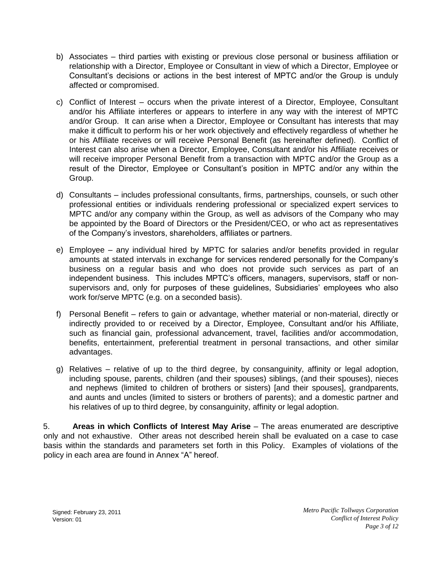- b) Associates third parties with existing or previous close personal or business affiliation or relationship with a Director, Employee or Consultant in view of which a Director, Employee or Consultant's decisions or actions in the best interest of MPTC and/or the Group is unduly affected or compromised.
- c) Conflict of Interest occurs when the private interest of a Director, Employee, Consultant and/or his Affiliate interferes or appears to interfere in any way with the interest of MPTC and/or Group. It can arise when a Director, Employee or Consultant has interests that may make it difficult to perform his or her work objectively and effectively regardless of whether he or his Affiliate receives or will receive Personal Benefit (as hereinafter defined). Conflict of Interest can also arise when a Director, Employee, Consultant and/or his Affiliate receives or will receive improper Personal Benefit from a transaction with MPTC and/or the Group as a result of the Director, Employee or Consultant's position in MPTC and/or any within the Group.
- d) Consultants includes professional consultants, firms, partnerships, counsels, or such other professional entities or individuals rendering professional or specialized expert services to MPTC and/or any company within the Group, as well as advisors of the Company who may be appointed by the Board of Directors or the President/CEO, or who act as representatives of the Company's investors, shareholders, affiliates or partners.
- e) Employee any individual hired by MPTC for salaries and/or benefits provided in regular amounts at stated intervals in exchange for services rendered personally for the Company's business on a regular basis and who does not provide such services as part of an independent business. This includes MPTC's officers, managers, supervisors, staff or nonsupervisors and, only for purposes of these guidelines, Subsidiaries' employees who also work for/serve MPTC (e.g. on a seconded basis).
- f) Personal Benefit refers to gain or advantage, whether material or non-material, directly or indirectly provided to or received by a Director, Employee, Consultant and/or his Affiliate, such as financial gain, professional advancement, travel, facilities and/or accommodation, benefits, entertainment, preferential treatment in personal transactions, and other similar advantages.
- g) Relatives relative of up to the third degree, by consanguinity, affinity or legal adoption, including spouse, parents, children (and their spouses) siblings, (and their spouses), nieces and nephews (limited to children of brothers or sisters) [and their spouses], grandparents, and aunts and uncles (limited to sisters or brothers of parents); and a domestic partner and his relatives of up to third degree, by consanguinity, affinity or legal adoption.

5. **Areas in which Conflicts of Interest May Arise** – The areas enumerated are descriptive only and not exhaustive. Other areas not described herein shall be evaluated on a case to case basis within the standards and parameters set forth in this Policy. Examples of violations of the policy in each area are found in Annex "A" hereof.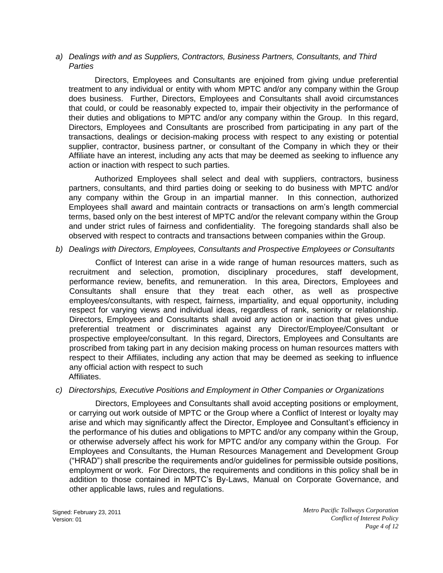*a) Dealings with and as Suppliers, Contractors, Business Partners, Consultants, and Third Parties* 

Directors, Employees and Consultants are enjoined from giving undue preferential treatment to any individual or entity with whom MPTC and/or any company within the Group does business. Further, Directors, Employees and Consultants shall avoid circumstances that could, or could be reasonably expected to, impair their objectivity in the performance of their duties and obligations to MPTC and/or any company within the Group. In this regard, Directors, Employees and Consultants are proscribed from participating in any part of the transactions, dealings or decision-making process with respect to any existing or potential supplier, contractor, business partner, or consultant of the Company in which they or their Affiliate have an interest, including any acts that may be deemed as seeking to influence any action or inaction with respect to such parties.

Authorized Employees shall select and deal with suppliers, contractors, business partners, consultants, and third parties doing or seeking to do business with MPTC and/or any company within the Group in an impartial manner. In this connection, authorized Employees shall award and maintain contracts or transactions on arm's length commercial terms, based only on the best interest of MPTC and/or the relevant company within the Group and under strict rules of fairness and confidentiality. The foregoing standards shall also be observed with respect to contracts and transactions between companies within the Group.

*b) Dealings with Directors, Employees, Consultants and Prospective Employees or Consultants* 

Conflict of Interest can arise in a wide range of human resources matters, such as recruitment and selection, promotion, disciplinary procedures, staff development, performance review, benefits, and remuneration. In this area, Directors, Employees and Consultants shall ensure that they treat each other, as well as prospective employees/consultants, with respect, fairness, impartiality, and equal opportunity, including respect for varying views and individual ideas, regardless of rank, seniority or relationship. Directors, Employees and Consultants shall avoid any action or inaction that gives undue preferential treatment or discriminates against any Director/Employee/Consultant or prospective employee/consultant. In this regard, Directors, Employees and Consultants are proscribed from taking part in any decision making process on human resources matters with respect to their Affiliates, including any action that may be deemed as seeking to influence any official action with respect to such Affiliates.

#### *c) Directorships, Executive Positions and Employment in Other Companies or Organizations*

Directors, Employees and Consultants shall avoid accepting positions or employment, or carrying out work outside of MPTC or the Group where a Conflict of Interest or loyalty may arise and which may significantly affect the Director, Employee and Consultant's efficiency in the performance of his duties and obligations to MPTC and/or any company within the Group, or otherwise adversely affect his work for MPTC and/or any company within the Group. For Employees and Consultants, the Human Resources Management and Development Group ("HRAD") shall prescribe the requirements and/or guidelines for permissible outside positions, employment or work. For Directors, the requirements and conditions in this policy shall be in addition to those contained in MPTC's By-Laws, Manual on Corporate Governance, and other applicable laws, rules and regulations.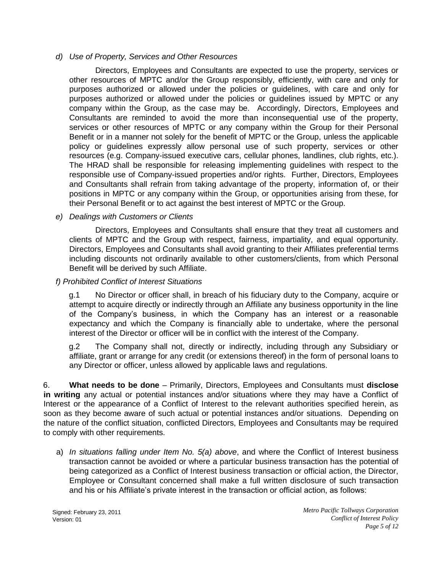#### *d) Use of Property, Services and Other Resources*

 Directors, Employees and Consultants are expected to use the property, services or other resources of MPTC and/or the Group responsibly, efficiently, with care and only for purposes authorized or allowed under the policies or guidelines, with care and only for purposes authorized or allowed under the policies or guidelines issued by MPTC or any company within the Group, as the case may be. Accordingly, Directors, Employees and Consultants are reminded to avoid the more than inconsequential use of the property, services or other resources of MPTC or any company within the Group for their Personal Benefit or in a manner not solely for the benefit of MPTC or the Group, unless the applicable policy or guidelines expressly allow personal use of such property, services or other resources (e.g. Company-issued executive cars, cellular phones, landlines, club rights, etc.). The HRAD shall be responsible for releasing implementing guidelines with respect to the responsible use of Company-issued properties and/or rights. Further, Directors, Employees and Consultants shall refrain from taking advantage of the property, information of, or their positions in MPTC or any company within the Group, or opportunities arising from these, for their Personal Benefit or to act against the best interest of MPTC or the Group.

#### *e) Dealings with Customers or Clients*

Directors, Employees and Consultants shall ensure that they treat all customers and clients of MPTC and the Group with respect, fairness, impartiality, and equal opportunity. Directors, Employees and Consultants shall avoid granting to their Affiliates preferential terms including discounts not ordinarily available to other customers/clients, from which Personal Benefit will be derived by such Affiliate.

#### *f) Prohibited Conflict of Interest Situations*

g.1 No Director or officer shall, in breach of his fiduciary duty to the Company, acquire or attempt to acquire directly or indirectly through an Affiliate any business opportunity in the line of the Company's business, in which the Company has an interest or a reasonable expectancy and which the Company is financially able to undertake, where the personal interest of the Director or officer will be in conflict with the interest of the Company.

g.2 The Company shall not, directly or indirectly, including through any Subsidiary or affiliate, grant or arrange for any credit (or extensions thereof) in the form of personal loans to any Director or officer, unless allowed by applicable laws and regulations.

6. **What needs to be done** – Primarily, Directors, Employees and Consultants must **disclose in writing** any actual or potential instances and/or situations where they may have a Conflict of Interest or the appearance of a Conflict of Interest to the relevant authorities specified herein, as soon as they become aware of such actual or potential instances and/or situations. Depending on the nature of the conflict situation, conflicted Directors, Employees and Consultants may be required to comply with other requirements.

a) *In situations falling under Item No. 5(a) above*, and where the Conflict of Interest business transaction cannot be avoided or where a particular business transaction has the potential of being categorized as a Conflict of Interest business transaction or official action, the Director, Employee or Consultant concerned shall make a full written disclosure of such transaction and his or his Affiliate's private interest in the transaction or official action, as follows: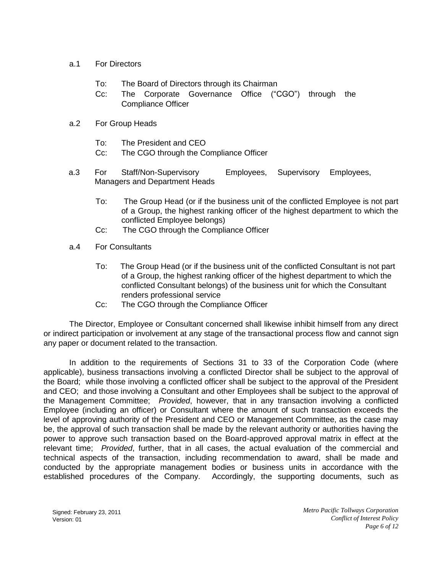- a.1 For Directors
	- To: The Board of Directors through its Chairman
	- Cc: The Corporate Governance Office ("CGO") through the Compliance Officer
- a.2 For Group Heads
	- To: The President and CEO
	- Cc: The CGO through the Compliance Officer
- a.3 For Staff/Non-Supervisory Employees, Supervisory Employees, Managers and Department Heads
	- To: The Group Head (or if the business unit of the conflicted Employee is not part of a Group, the highest ranking officer of the highest department to which the conflicted Employee belongs)
	- Cc: The CGO through the Compliance Officer
- a.4 For Consultants
	- To: The Group Head (or if the business unit of the conflicted Consultant is not part of a Group, the highest ranking officer of the highest department to which the conflicted Consultant belongs) of the business unit for which the Consultant renders professional service
	- Cc: The CGO through the Compliance Officer

The Director, Employee or Consultant concerned shall likewise inhibit himself from any direct or indirect participation or involvement at any stage of the transactional process flow and cannot sign any paper or document related to the transaction.

In addition to the requirements of Sections 31 to 33 of the Corporation Code (where applicable), business transactions involving a conflicted Director shall be subject to the approval of the Board; while those involving a conflicted officer shall be subject to the approval of the President and CEO; and those involving a Consultant and other Employees shall be subject to the approval of the Management Committee; *Provided*, however, that in any transaction involving a conflicted Employee (including an officer) or Consultant where the amount of such transaction exceeds the level of approving authority of the President and CEO or Management Committee, as the case may be, the approval of such transaction shall be made by the relevant authority or authorities having the power to approve such transaction based on the Board-approved approval matrix in effect at the relevant time; *Provided*, further, that in all cases, the actual evaluation of the commercial and technical aspects of the transaction, including recommendation to award, shall be made and conducted by the appropriate management bodies or business units in accordance with the established procedures of the Company. Accordingly, the supporting documents, such as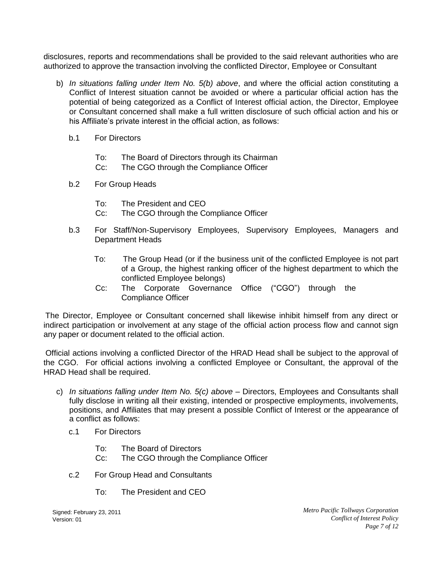disclosures, reports and recommendations shall be provided to the said relevant authorities who are authorized to approve the transaction involving the conflicted Director, Employee or Consultant

- b) *In situations falling under Item No. 5(b) above*, and where the official action constituting a Conflict of Interest situation cannot be avoided or where a particular official action has the potential of being categorized as a Conflict of Interest official action, the Director, Employee or Consultant concerned shall make a full written disclosure of such official action and his or his Affiliate's private interest in the official action, as follows:
	- b.1 For Directors
		- To: The Board of Directors through its Chairman
		- Cc: The CGO through the Compliance Officer
	- b.2 For Group Heads
		- To: The President and CEO
		- Cc: The CGO through the Compliance Officer
	- b.3 For Staff/Non-Supervisory Employees, Supervisory Employees, Managers and Department Heads
		- To: The Group Head (or if the business unit of the conflicted Employee is not part of a Group, the highest ranking officer of the highest department to which the conflicted Employee belongs)
		- Cc: The Corporate Governance Office ("CGO") through the Compliance Officer

The Director, Employee or Consultant concerned shall likewise inhibit himself from any direct or indirect participation or involvement at any stage of the official action process flow and cannot sign any paper or document related to the official action.

Official actions involving a conflicted Director of the HRAD Head shall be subject to the approval of the CGO. For official actions involving a conflicted Employee or Consultant, the approval of the HRAD Head shall be required.

- c) *In situations falling under Item No. 5(c) above* Directors, Employees and Consultants shall fully disclose in writing all their existing, intended or prospective employments, involvements, positions, and Affiliates that may present a possible Conflict of Interest or the appearance of a conflict as follows:
	- c.1 For Directors
		- To: The Board of Directors
		- Cc: The CGO through the Compliance Officer
	- c.2 For Group Head and Consultants
		- To: The President and CEO

Signed: February 23, 2011 Version: 01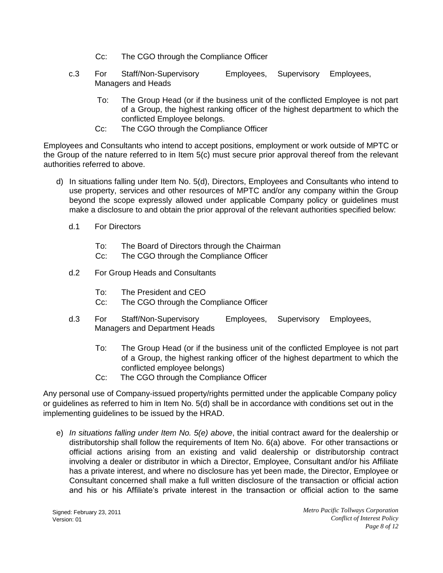- Cc: The CGO through the Compliance Officer
- c.3 For Staff/Non-Supervisory Employees, Supervisory Employees, Managers and Heads
	- To: The Group Head (or if the business unit of the conflicted Employee is not part of a Group, the highest ranking officer of the highest department to which the conflicted Employee belongs.
	- Cc: The CGO through the Compliance Officer

Employees and Consultants who intend to accept positions, employment or work outside of MPTC or the Group of the nature referred to in Item 5(c) must secure prior approval thereof from the relevant authorities referred to above.

- d) In situations falling under Item No. 5(d), Directors, Employees and Consultants who intend to use property, services and other resources of MPTC and/or any company within the Group beyond the scope expressly allowed under applicable Company policy or guidelines must make a disclosure to and obtain the prior approval of the relevant authorities specified below:
	- d.1 For Directors
		- To: The Board of Directors through the Chairman
		- Cc: The CGO through the Compliance Officer
	- d.2 For Group Heads and Consultants
		- To: The President and CEO
		- Cc: The CGO through the Compliance Officer
	- d.3 For Staff/Non-Supervisory Employees, Supervisory Employees, Managers and Department Heads
		- To: The Group Head (or if the business unit of the conflicted Employee is not part of a Group, the highest ranking officer of the highest department to which the conflicted employee belongs)
		- Cc: The CGO through the Compliance Officer

Any personal use of Company-issued property/rights permitted under the applicable Company policy or guidelines as referred to him in Item No. 5(d) shall be in accordance with conditions set out in the implementing guidelines to be issued by the HRAD.

e) *In situations falling under Item No. 5(e) above*, the initial contract award for the dealership or distributorship shall follow the requirements of Item No. 6(a) above. For other transactions or official actions arising from an existing and valid dealership or distributorship contract involving a dealer or distributor in which a Director, Employee, Consultant and/or his Affiliate has a private interest, and where no disclosure has yet been made, the Director, Employee or Consultant concerned shall make a full written disclosure of the transaction or official action and his or his Affiliate's private interest in the transaction or official action to the same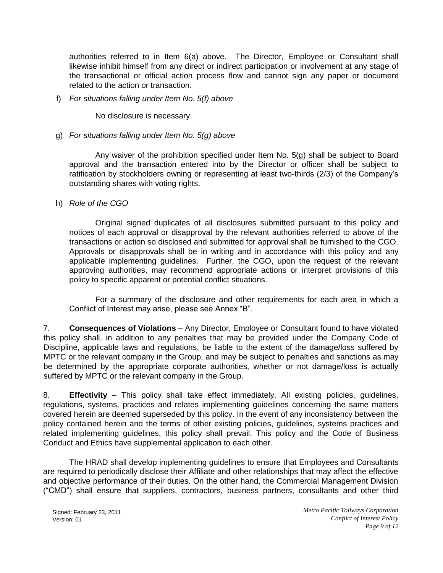authorities referred to in Item 6(a) above. The Director, Employee or Consultant shall likewise inhibit himself from any direct or indirect participation or involvement at any stage of the transactional or official action process flow and cannot sign any paper or document related to the action or transaction.

#### f) *For situations falling under Item No. 5(f) above*

No disclosure is necessary.

#### g) *For situations falling under Item No. 5(g) above*

 Any waiver of the prohibition specified under Item No. 5(g) shall be subject to Board approval and the transaction entered into by the Director or officer shall be subject to ratification by stockholders owning or representing at least two-thirds (2/3) of the Company's outstanding shares with voting rights.

#### h) *Role of the CGO*

Original signed duplicates of all disclosures submitted pursuant to this policy and notices of each approval or disapproval by the relevant authorities referred to above of the transactions or action so disclosed and submitted for approval shall be furnished to the CGO. Approvals or disapprovals shall be in writing and in accordance with this policy and any applicable implementing guidelines. Further, the CGO, upon the request of the relevant approving authorities, may recommend appropriate actions or interpret provisions of this policy to specific apparent or potential conflict situations.

 For a summary of the disclosure and other requirements for each area in which a Conflict of Interest may arise, please see Annex "B".

7. **Consequences of Violations** – Any Director, Employee or Consultant found to have violated this policy shall, in addition to any penalties that may be provided under the Company Code of Discipline, applicable laws and regulations, be liable to the extent of the damage/loss suffered by MPTC or the relevant company in the Group, and may be subject to penalties and sanctions as may be determined by the appropriate corporate authorities, whether or not damage/loss is actually suffered by MPTC or the relevant company in the Group.

8. **Effectivity** – This policy shall take effect immediately. All existing policies, guidelines, regulations, systems, practices and relates implementing guidelines concerning the same matters covered herein are deemed superseded by this policy. In the event of any inconsistency between the policy contained herein and the terms of other existing policies, guidelines, systems practices and related implementing guidelines, this policy shall prevail. This policy and the Code of Business Conduct and Ethics have supplemental application to each other.

The HRAD shall develop implementing guidelines to ensure that Employees and Consultants are required to periodically disclose their Affiliate and other relationships that may affect the effective and objective performance of their duties. On the other hand, the Commercial Management Division ("CMD") shall ensure that suppliers, contractors, business partners, consultants and other third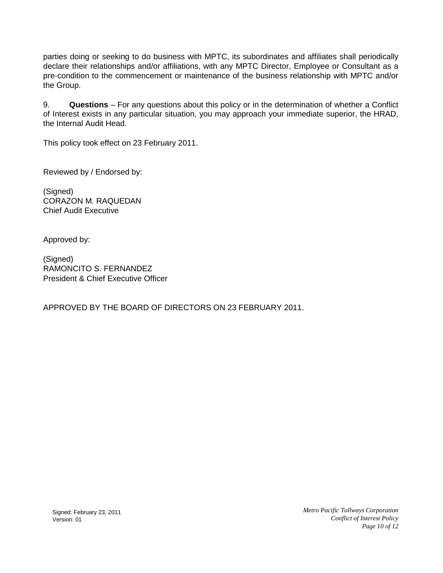parties doing or seeking to do business with MPTC, its subordinates and affiliates shall periodically declare their relationships and/or affiliations, with any MPTC Director, Employee or Consultant as a pre-condition to the commencement or maintenance of the business relationship with MPTC and/or the Group.

9. **Questions** – For any questions about this policy or in the determination of whether a Conflict of Interest exists in any particular situation, you may approach your immediate superior, the HRAD, the Internal Audit Head.

This policy took effect on 23 February 2011.

Reviewed by / Endorsed by:

(Signed) CORAZON M. RAQUEDAN Chief Audit Executive

Approved by:

(Signed) RAMONCITO S. FERNANDEZ President & Chief Executive Officer

APPROVED BY THE BOARD OF DIRECTORS ON 23 FEBRUARY 2011.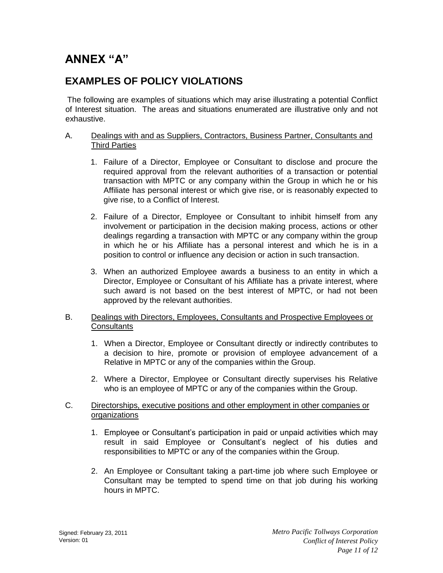# **ANNEX "A"**

# **EXAMPLES OF POLICY VIOLATIONS**

The following are examples of situations which may arise illustrating a potential Conflict of Interest situation. The areas and situations enumerated are illustrative only and not exhaustive.

#### A. Dealings with and as Suppliers, Contractors, Business Partner, Consultants and Third Parties

- 1. Failure of a Director, Employee or Consultant to disclose and procure the required approval from the relevant authorities of a transaction or potential transaction with MPTC or any company within the Group in which he or his Affiliate has personal interest or which give rise, or is reasonably expected to give rise, to a Conflict of Interest.
- 2. Failure of a Director, Employee or Consultant to inhibit himself from any involvement or participation in the decision making process, actions or other dealings regarding a transaction with MPTC or any company within the group in which he or his Affiliate has a personal interest and which he is in a position to control or influence any decision or action in such transaction.
- 3. When an authorized Employee awards a business to an entity in which a Director, Employee or Consultant of his Affiliate has a private interest, where such award is not based on the best interest of MPTC, or had not been approved by the relevant authorities.

#### B. Dealings with Directors, Employees, Consultants and Prospective Employees or **Consultants**

- 1. When a Director, Employee or Consultant directly or indirectly contributes to a decision to hire, promote or provision of employee advancement of a Relative in MPTC or any of the companies within the Group.
- 2. Where a Director, Employee or Consultant directly supervises his Relative who is an employee of MPTC or any of the companies within the Group.

#### C. Directorships, executive positions and other employment in other companies or organizations

- 1. Employee or Consultant's participation in paid or unpaid activities which may result in said Employee or Consultant's neglect of his duties and responsibilities to MPTC or any of the companies within the Group.
- 2. An Employee or Consultant taking a part-time job where such Employee or Consultant may be tempted to spend time on that job during his working hours in MPTC.